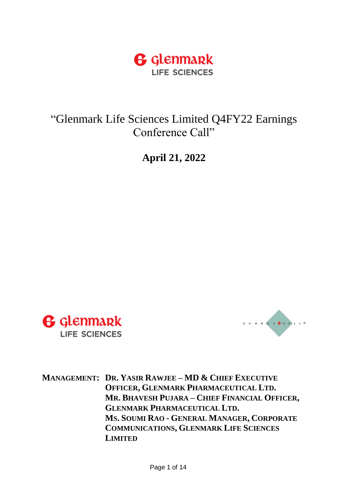

"Glenmark Life Sciences Limited Q4FY22 Earnings Conference Call"

**April 21, 2022**





**MANAGEMENT: DR. YASIR RAWJEE – MD & CHIEF EXECUTIVE OFFICER, GLENMARK PHARMACEUTICAL LTD. MR. BHAVESH PUJARA – CHIEF FINANCIAL OFFICER, GLENMARK PHARMACEUTICAL LTD. MS. SOUMI RAO - GENERAL MANAGER, CORPORATE COMMUNICATIONS, GLENMARK LIFE SCIENCES LIMITED**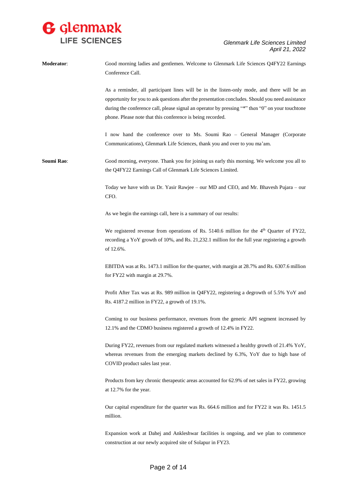

| Moderator: | Good morning ladies and gentlemen. Welcome to Glenmark Life Sciences Q4FY22 Earnings<br>Conference Call.                                                                                                                                                                                                                                                          |
|------------|-------------------------------------------------------------------------------------------------------------------------------------------------------------------------------------------------------------------------------------------------------------------------------------------------------------------------------------------------------------------|
|            | As a reminder, all participant lines will be in the listen-only mode, and there will be an<br>opportunity for you to ask questions after the presentation concludes. Should you need assistance<br>during the conference call, please signal an operator by pressing "*" then "0" on your touchtone<br>phone. Please note that this conference is being recorded. |
|            | I now hand the conference over to Ms. Soumi Rao - General Manager (Corporate<br>Communications), Glenmark Life Sciences, thank you and over to you ma'am.                                                                                                                                                                                                         |
| Soumi Rao: | Good morning, everyone. Thank you for joining us early this morning. We welcome you all to<br>the Q4FY22 Earnings Call of Glenmark Life Sciences Limited.                                                                                                                                                                                                         |
|            | Today we have with us Dr. Yasir Rawjee – our MD and CEO, and Mr. Bhavesh Pujara – our<br>CFO.                                                                                                                                                                                                                                                                     |
|            | As we begin the earnings call, here is a summary of our results:                                                                                                                                                                                                                                                                                                  |
|            | We registered revenue from operations of Rs. 5140.6 million for the $4th$ Quarter of FY22,<br>recording a YoY growth of 10%, and Rs. 21,232.1 million for the full year registering a growth<br>of 12.6%.                                                                                                                                                         |
|            | EBITDA was at Rs. 1473.1 million for the quarter, with margin at 28.7% and Rs. 6307.6 million<br>for FY22 with margin at 29.7%.                                                                                                                                                                                                                                   |
|            | Profit After Tax was at Rs. 989 million in Q4FY22, registering a degrowth of 5.5% YoY and<br>Rs. 4187.2 million in FY22, a growth of 19.1%.                                                                                                                                                                                                                       |
|            | Coming to our business performance, revenues from the generic API segment increased by<br>12.1% and the CDMO business registered a growth of 12.4% in FY22.                                                                                                                                                                                                       |
|            | During FY22, revenues from our regulated markets witnessed a healthy growth of 21.4% YoY,<br>whereas revenues from the emerging markets declined by 6.3%, YoY due to high base of<br>COVID product sales last year.                                                                                                                                               |
|            | Products from key chronic therapeutic areas accounted for 62.9% of net sales in FY22, growing<br>at 12.7% for the year.                                                                                                                                                                                                                                           |
|            | Our capital expenditure for the quarter was Rs. 664.6 million and for FY22 it was Rs. 1451.5<br>million.                                                                                                                                                                                                                                                          |
|            | Expansion work at Dahej and Ankleshwar facilities is ongoing, and we plan to commence<br>construction at our newly acquired site of Solapur in FY23.                                                                                                                                                                                                              |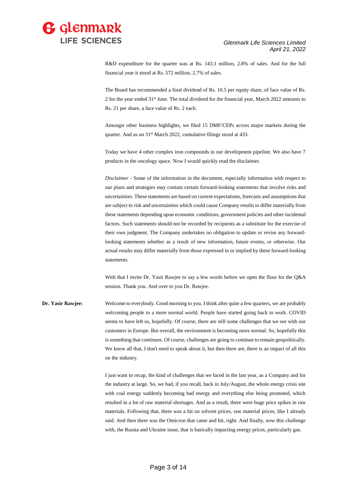

R&D expenditure for the quarter was at Rs. 143.1 million, 2.8% of sales. And for the full financial year it stood at Rs. 572 million, 2.7% of sales.

The Board has recommended a final dividend of Rs. 10.5 per equity share, of face value of Rs. 2 for the year ended 31<sup>st</sup> June. The total dividend for the financial year, March 2022 amounts to Rs. 21 per share, a face value of Rs. 2 each.

Amongst other business highlights, we filed 15 DMF/CEPs across major markets during the quarter. And as on 31st March 2022, cumulative filings stood at 433.

Today we have 4 other complex iron compounds in our development pipeline. We also have 7 products in the oncology space. Now I would quickly read the disclaimer.

*Disclaimer* - Some of the information in the document, especially information with respect to our plans and strategies may contain certain forward-looking statements that involve risks and uncertainties. These statements are based on current expectations, forecasts and assumptions that are subject to risk and uncertainties which could cause Company results to differ materially from these statements depending upon economic conditions, government policies and other incidental factors. Such statements should not be recorded by recipients as a substitute for the exercise of their own judgment. The Company undertakes no obligation to update or revise any forwardlooking statements whether as a result of new information, future events, or otherwise. Our actual results may differ materially from those expressed in or implied by these forward-looking statements.

With that I invite Dr. Yasir Rawjee to say a few words before we open the floor for the Q&A session. Thank you. And over to you Dr. Rawjee.

**Dr. Yasir Rawjee:** Welcome to everybody. Good morning to you. I think after quite a few quarters, we are probably welcoming people to a more normal world. People have started going back to work. COVID seems to have left us, hopefully. Of course, there are still some challenges that we see with our customers in Europe. But overall, the environment is becoming more normal. So, hopefully this is something that continues. Of course, challenges are going to continue to remain geopolitically. We know all that, I don't need to speak about it, but then there are, there is an impact of all this on the industry.

> I just want to recap, the kind of challenges that we faced in the last year, as a Company and for the industry at large. So, we had, if you recall, back in July/August, the whole energy crisis site with coal energy suddenly becoming bad energy and everything else being promoted, which resulted in a lot of raw material shortages. And as a result, there were huge price spikes in raw materials. Following that, there was a hit on solvent prices, raw material prices, like I already said. And then there was the Omicron that came and hit, right. And finally, now this challenge with, the Russia and Ukraine issue, that is basically impacting energy prices, particularly gas.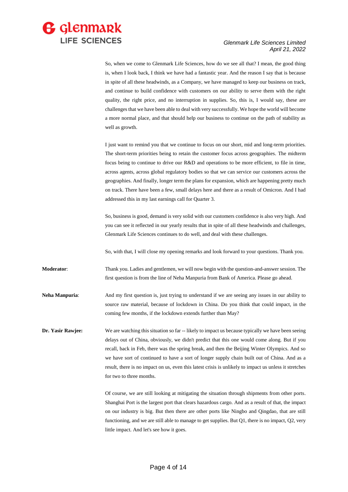

So, when we come to Glenmark Life Sciences, how do we see all that? I mean, the good thing is, when I look back, I think we have had a fantastic year. And the reason I say that is because in spite of all these headwinds, as a Company, we have managed to keep our business on track, and continue to build confidence with customers on our ability to serve them with the right quality, the right price, and no interruption in supplies. So, this is, I would say, these are challenges that we have been able to deal with very successfully. We hope the world will become a more normal place, and that should help our business to continue on the path of stability as well as growth.

I just want to remind you that we continue to focus on our short, mid and long-term priorities. The short-term priorities being to retain the customer focus across geographies. The midterm focus being to continue to drive our R&D and operations to be more efficient, to file in time, across agents, across global regulatory bodies so that we can service our customers across the geographies. And finally, longer term the plans for expansion, which are happening pretty much on track. There have been a few, small delays here and there as a result of Omicron. And I had addressed this in my last earnings call for Quarter 3.

So, business is good, demand is very solid with our customers confidence is also very high. And you can see it reflected in our yearly results that in spite of all these headwinds and challenges, Glenmark Life Sciences continues to do well, and deal with these challenges.

So, with that, I will close my opening remarks and look forward to your questions. Thank you.

**Moderator**: Thank you. Ladies and gentlemen, we will now begin with the question-and-answer session. The first question is from the line of Neha Manpuria from Bank of America. Please go ahead.

**Neha Manpuria:** And my first question is, just trying to understand if we are seeing any issues in our ability to source raw material, because of lockdown in China. Do you think that could impact, in the coming few months, if the lockdown extends further than May?

**Dr. Yasir Rawjee:** We are watching this situation so far -- likely to impact us because typically we have been seeing delays out of China, obviously, we didn't predict that this one would come along. But if you recall, back in Feb, there was the spring break, and then the Beijing Winter Olympics. And so we have sort of continued to have a sort of longer supply chain built out of China. And as a result, there is no impact on us, even this latest crisis is unlikely to impact us unless it stretches for two to three months.

> Of course, we are still looking at mitigating the situation through shipments from other ports. Shanghai Port is the largest port that clears hazardous cargo. And as a result of that, the impact on our industry is big. But then there are other ports like Ningbo and Qingdao, that are still functioning, and we are still able to manage to get supplies. But Q1, there is no impact, Q2, very little impact. And let's see how it goes.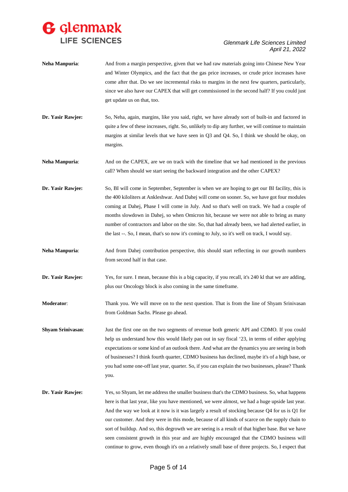

| Neha Manpuria:           | And from a margin perspective, given that we had raw materials going into Chinese New Year<br>and Winter Olympics, and the fact that the gas price increases, or crude price increases have<br>come after that. Do we see incremental risks to margins in the next few quarters, particularly,<br>since we also have our CAPEX that will get commissioned in the second half? If you could just<br>get update us on that, too.                                                                                                                                                                                                                                                                                   |
|--------------------------|------------------------------------------------------------------------------------------------------------------------------------------------------------------------------------------------------------------------------------------------------------------------------------------------------------------------------------------------------------------------------------------------------------------------------------------------------------------------------------------------------------------------------------------------------------------------------------------------------------------------------------------------------------------------------------------------------------------|
| Dr. Yasir Rawjee:        | So, Neha, again, margins, like you said, right, we have already sort of built-in and factored in<br>quite a few of these increases, right. So, unlikely to dip any further, we will continue to maintain<br>margins at similar levels that we have seen in $Q3$ and $Q4$ . So, I think we should be okay, on<br>margins.                                                                                                                                                                                                                                                                                                                                                                                         |
| <b>Neha Manpuria:</b>    | And on the CAPEX, are we on track with the timeline that we had mentioned in the previous<br>call? When should we start seeing the backward integration and the other CAPEX?                                                                                                                                                                                                                                                                                                                                                                                                                                                                                                                                     |
| Dr. Yasir Rawjee:        | So, BI will come in September, September is when we are hoping to get our BI facility, this is<br>the 400 kiloliters at Ankleshwar. And Dahej will come on sooner. So, we have got four modules<br>coming at Dahej, Phase I will come in July. And so that's well on track. We had a couple of<br>months slowdown in Dahej, so when Omicron hit, because we were not able to bring as many<br>number of contractors and labor on the site. So, that had already been, we had alerted earlier, in<br>the last --. So, I mean, that's so now it's coming to July, so it's well on track, I would say.                                                                                                              |
| Neha Manpuria:           | And from Dahej contribution perspective, this should start reflecting in our growth numbers<br>from second half in that case.                                                                                                                                                                                                                                                                                                                                                                                                                                                                                                                                                                                    |
| Dr. Yasir Rawjee:        | Yes, for sure. I mean, because this is a big capacity, if you recall, it's 240 kl that we are adding,<br>plus our Oncology block is also coming in the same timeframe.                                                                                                                                                                                                                                                                                                                                                                                                                                                                                                                                           |
| Moderator:               | Thank you. We will move on to the next question. That is from the line of Shyam Srinivasan<br>from Goldman Sachs. Please go ahead.                                                                                                                                                                                                                                                                                                                                                                                                                                                                                                                                                                               |
| <b>Shyam Srinivasan:</b> | Just the first one on the two segments of revenue both generic API and CDMO. If you could<br>help us understand how this would likely pan out in say fiscal '23, in terms of either applying<br>expectations or some kind of an outlook there. And what are the dynamics you are seeing in both<br>of businesses? I think fourth quarter, CDMO business has declined, maybe it's of a high base, or<br>you had some one-off last year, quarter. So, if you can explain the two businesses, please? Thank<br>you.                                                                                                                                                                                                 |
| Dr. Yasir Rawjee:        | Yes, so Shyam, let me address the smaller business that's the CDMO business. So, what happens<br>here is that last year, like you have mentioned, we were almost, we had a huge upside last year.<br>And the way we look at it now is it was largely a result of stocking because Q4 for us is Q1 for<br>our customer. And they were in this mode, because of all kinds of scarce on the supply chain to<br>sort of buildup. And so, this degrowth we are seeing is a result of that higher base. But we have<br>seen consistent growth in this year and are highly encouraged that the CDMO business will<br>continue to grow, even though it's on a relatively small base of three projects. So, I expect that |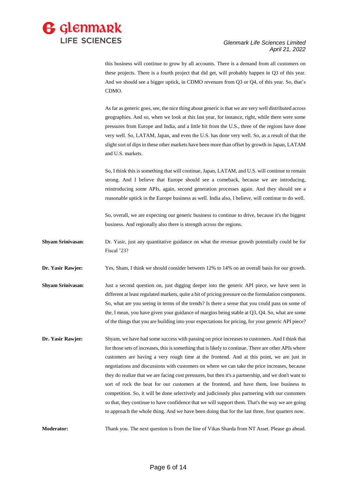

this business will continue to grow by all accounts. There is a demand from all customers on these projects. There is a fourth project that did get, will probably happen in Q3 of this year. And we should see a bigger uptick, in CDMO revenues from Q3 or Q4, of this year. So, that's CDMO.

As far as generic goes, see, the nice thing about generic is that we are very well distributed across geographies. And so, when we look at this last year, for instance, right, while there were some pressures from Europe and India, and a little bit from the U.S., three of the regions have done very well. So, LATAM, Japan, and even the U.S. has done very well. So, as a result of that the slight sort of dips in these other markets have been more than offset by growth in Japan, LATAM and U.S. markets.

So, I think this is something that will continue, Japan, LATAM, and U.S. will continue to remain strong. And I believe that Europe should see a comeback, because we are introducing, reintroducing some APIs, again, second generation processes again. And they should see a reasonable uptick in the Europe business as well. India also, I believe, will continue to do well.

So, overall, we are expecting our generic business to continue to drive, because it's the biggest business. And regionally also there is strength across the regions.

**Shyam Srinivasan**: Dr. Yasir, just any quantitative guidance on what the revenue growth potentially could be for Fiscal '23?

**Dr. Yasir Rawjee:** Yes, Sham, I think we should consider between 12% to 14% on an overall basis for our growth.

- **Shyam Srinivasan:** Just a second question on, just digging deeper into the generic API piece, we have seen in different at least regulated markets, quite a bit of pricing pressure on the formulation component. So, what are you seeing in terms of the trends? Is there a sense that you could pass on some of the, I mean, you have given your guidance of margins being stable at Q3, Q4. So, what are some of the things that you are building into your expectations for pricing, for your generic API piece?
- **Dr. Yasir Rawjee:** Shyam, we have had some success with passing on price increases to customers. And I think that for those sets of increases, this is something that is likely to continue. There are other APIs where customers are having a very rough time at the frontend. And at this point, we are just in negotiations and discussions with customers on where we can take the price increases, because they do realize that we are facing cost pressures, but then it's a partnership, and we don't want to sort of rock the boat for our customers at the frontend, and have them, lose business to competition. So, it will be done selectively and judiciously plus partnering with our customers so that, they continue to have confidence that we will support them. That's the way we are going to approach the whole thing. And we have been doing that for the last three, four quarters now.

**Moderator:** Thank you. The next question is from the line of Vikas Sharda from NT Asset. Please go ahead.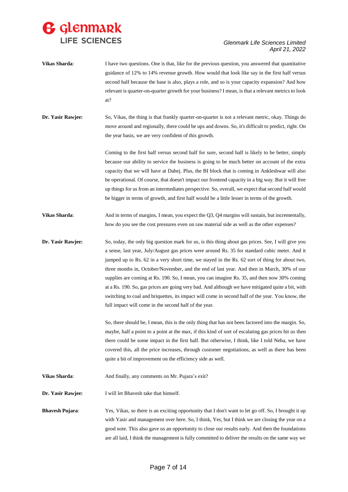

- **Vikas Sharda:** I have two questions. One is that, like for the previous question, you answered that quantitative guidance of 12% to 14% revenue growth. How would that look like say in the first half versus second half because the base is also, plays a role, and so is your capacity expansion? And how relevant is quarter-on-quarter growth for your business? I mean, is that a relevant metrics to look at?
- **Dr. Yasir Rawjee:** So, Vikas, the thing is that frankly quarter-on-quarter is not a relevant metric, okay. Things do move around and regionally, there could be ups and downs. So, it's difficult to predict, right. On the year basis, we are very confident of this growth.

Coming to the first half versus second half for sure, second half is likely to be better, simply because our ability to service the business is going to be much better on account of the extra capacity that we will have at Dahej. Plus, the BI block that is coming in Ankleshwar will also be operational. Of course, that doesn't impact our frontend capacity in a big way. But it will free up things for us from an intermediates perspective. So, overall, we expect that second half would be bigger in terms of growth, and first half would be a little lesser in terms of the growth.

- **Vikas Sharda:** And in terms of margins, I mean, you expect the Q3, Q4 margins will sustain, but incrementally, how do you see the cost pressures even on raw material side as well as the other expenses?
- **Dr. Yasir Rawjee:** So, today, the only big question mark for us, is this thing about gas prices. See, I will give you a sense, last year, July/August gas prices were around Rs. 35 for standard cubic meter. And it jumped up to Rs. 62 in a very short time, we stayed in the Rs. 62 sort of thing for about two, three months in, October/November, and the end of last year. And then in March, 30% of our supplies are coming at Rs. 190. So, I mean, you can imagine Rs. 35, and then now 30% coming at a Rs. 190. So, gas prices are going very bad. And although we have mitigated quite a bit, with switching to coal and briquettes, its impact will come in second half of the year. You know, the full impact will come in the second half of the year.

So, there should be, I mean, this is the only thing that has not been factored into the margin. So, maybe, half a point to a point at the max, if this kind of sort of escalating gas prices hit us then there could be some impact in the first half. But otherwise, I think, like I told Neha, we have covered this, all the price increases, through customer negotiations, as well as there has been quite a bit of improvement on the efficiency side as well.

- **Vikas Sharda:** And finally, any comments on Mr. Pujara's exit?
- **Dr. Yasir Rawjee:** I will let Bhavesh take that himself.
- **Bhavesh Pujara:** Yes, Vikas, so there is an exciting opportunity that I don't want to let go off. So, I brought it up with Yasir and management over here. So, I think, Yes, but I think we are closing the year on a good note. This also gave us an opportunity to close our results early. And then the foundations are all laid, I think the management is fully committed to deliver the results on the same way we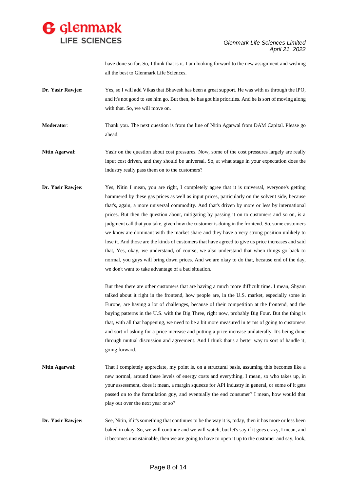

have done so far. So, I think that is it. I am looking forward to the new assignment and wishing all the best to Glenmark Life Sciences.

- **Dr. Yasir Rawjee:** Yes, so I will add Vikas that Bhavesh has been a great support. He was with us through the IPO, and it's not good to see him go. But then, he has got his priorities. And he is sort of moving along with that. So, we will move on.
- **Moderator**: Thank you. The next question is from the line of Nitin Agarwal from DAM Capital. Please go ahead.
- **Nitin Agarwal**: Yasir on the question about cost pressures. Now, some of the cost pressures largely are really input cost driven, and they should be universal. So, at what stage in your expectation does the industry really pass them on to the customers?
- **Dr. Yasir Rawjee:** Yes, Nitin I mean, you are right, I completely agree that it is universal, everyone's getting hammered by these gas prices as well as input prices, particularly on the solvent side, because that's, again, a more universal commodity. And that's driven by more or less by international prices. But then the question about, mitigating by passing it on to customers and so on, is a judgment call that you take, given how the customer is doing in the frontend. So, some customers we know are dominant with the market share and they have a very strong position unlikely to lose it. And those are the kinds of customers that have agreed to give us price increases and said that, Yes, okay, we understand, of course, we also understand that when things go back to normal, you guys will bring down prices. And we are okay to do that, because end of the day, we don't want to take advantage of a bad situation.

But then there are other customers that are having a much more difficult time. I mean, Shyam talked about it right in the frontend, how people are, in the U.S. market, especially some in Europe, are having a lot of challenges, because of their competition at the frontend, and the buying patterns in the U.S. with the Big Three, right now, probably Big Four. But the thing is that, with all that happening, we need to be a bit more measured in terms of going to customers and sort of asking for a price increase and putting a price increase unilaterally. It's being done through mutual discussion and agreement. And I think that's a better way to sort of handle it, going forward.

- **Nitin Agarwal**: That I completely appreciate, my point is, on a structural basis, assuming this becomes like a new normal, around these levels of energy costs and everything. I mean, so who takes up, in your assessment, does it mean, a margin squeeze for API industry in general, or some of it gets passed on to the formulation guy, and eventually the end consumer? I mean, how would that play out over the next year or so?
- **Dr. Yasir Rawjee:** See, Nitin, if it's something that continues to be the way it is, today, then it has more or less been baked in okay. So, we will continue and we will watch, but let's say if it goes crazy, I mean, and it becomes unsustainable, then we are going to have to open it up to the customer and say, look,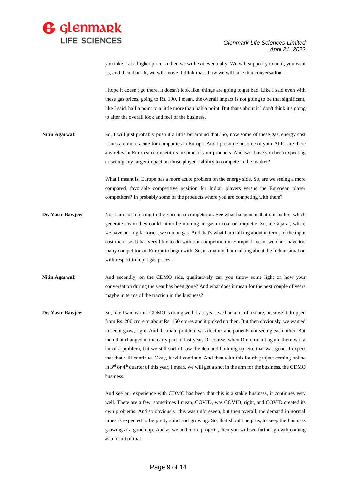

you take it at a higher price so then we will exit eventually. We will support you until, you want us, and then that's it, we will move. I think that's how we will take that conversation.

I hope it doesn't go there, it doesn't look like, things are going to get bad. Like I said even with these gas prices, going to Rs. 190, I mean, the overall impact is not going to be that significant, like I said, half a point to a little more than half a point. But that's about it I don't think it's going to alter the overall look and feel of the business.

**Nitin Agarwal:** So, I will just probably push it a little bit around that. So, now some of these gas, energy cost issues are more acute for companies in Europe. And I presume in some of your APIs, are there any relevant European competitors in some of your products. And two, have you been expecting or seeing any larger impact on those player's ability to compete in the market?

> What I meant is, Europe has a more acute problem on the energy side. So, are we seeing a more compared, favorable competitive position for Indian players versus the European player competitors? In probably some of the products where you are competing with them?

- **Dr. Yasir Rawjee:** No, I am not referring to the European competition. See what happens is that our boilers which generate steam they could either be running on gas or coal or briquette. So, in Gujarat, where we have our big factories, we run on gas. And that's what I am talking about in terms of the input cost increase. It has very little to do with our competition in Europe. I mean, we don't have too many competitors in Europe to begin with. So, it's mainly, I am talking about the Indian situation with respect to input gas prices.
- Nitin Agarwal: And secondly, on the CDMO side, qualitatively can you throw some light on how your conversation during the year has been gone? And what does it mean for the next couple of years maybe in terms of the traction in the business?
- **Dr. Yasir Rawjee:** So, like I said earlier CDMO is doing well. Last year, we had a bit of a scare, because it dropped from Rs. 200 crore to about Rs. 150 crores and it picked up then. But then obviously, we wanted to see it grow, right. And the main problem was doctors and patients not seeing each other. But then that changed in the early part of last year. Of course, when Omicron hit again, there was a bit of a problem, but we still sort of saw the demand building up. So, that was good. I expect that that will continue. Okay, it will continue. And then with this fourth project coming online in 3<sup>rd</sup> or 4<sup>th</sup> quarter of this year, I mean, we will get a shot in the arm for the business, the CDMO business.

And see our experience with CDMO has been that this is a stable business, it continues very well. There are a few, sometimes I mean, COVID, was COVID, right, and COVID created its own problems. And so obviously, this was unforeseen, but then overall, the demand in normal times is expected to be pretty solid and growing. So, that should help us, to keep the business growing at a good clip. And as we add more projects, then you will see further growth coming as a result of that.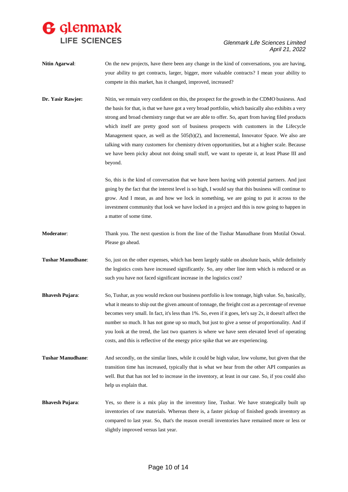

- **Nitin Agarwal**: On the new projects, have there been any change in the kind of conversations, you are having, your ability to get contracts, larger, bigger, more valuable contracts? I mean your ability to compete in this market, has it changed, improved, increased?
- **Dr. Yasir Rawjee:** Nitin, we remain very confident on this, the prospect for the growth in the CDMO business. And the basis for that, is that we have got a very broad portfolio, which basically also exhibits a very strong and broad chemistry range that we are able to offer. So, apart from having filed products which itself are pretty good sort of business prospects with customers in the Lifecycle Management space, as well as the  $505(b)(2)$ , and Incremental, Innovator Space. We also are talking with many customers for chemistry driven opportunities, but at a higher scale. Because we have been picky about not doing small stuff, we want to operate it, at least Phase III and beyond.

So, this is the kind of conversation that we have been having with potential partners. And just going by the fact that the interest level is so high, I would say that this business will continue to grow. And I mean, as and how we lock in something, we are going to put it across to the investment community that look we have locked in a project and this is now going to happen in a matter of some time.

- **Moderator**: Thank you. The next question is from the line of the Tushar Manudhane from Motilal Oswal. Please go ahead.
- **Tushar Manudhane**: So, just on the other expenses, which has been largely stable on absolute basis, while definitely the logistics costs have increased significantly. So, any other line item which is reduced or as such you have not faced significant increase in the logistics cost?
- **Bhavesh Pujara**: So, Tushar, as you would reckon our business portfolio is low tonnage, high value. So, basically, what it means to ship out the given amount of tonnage, the freight cost as a percentage of revenue becomes very small. In fact, it's less than 1%. So, even if it goes, let's say 2x, it doesn't affect the number so much. It has not gone up so much, but just to give a sense of proportionality. And if you look at the trend, the last two quarters is where we have seen elevated level of operating costs, and this is reflective of the energy price spike that we are experiencing.
- **Tushar Manudhane**: And secondly, on the similar lines, while it could be high value, low volume, but given that the transition time has increased, typically that is what we hear from the other API companies as well. But that has not led to increase in the inventory, at least in our case. So, if you could also help us explain that.
- **Bhavesh Pujara**: Yes, so there is a mix play in the inventory line, Tushar. We have strategically built up inventories of raw materials. Whereas there is, a faster pickup of finished goods inventory as compared to last year. So, that's the reason overall inventories have remained more or less or slightly improved versus last year.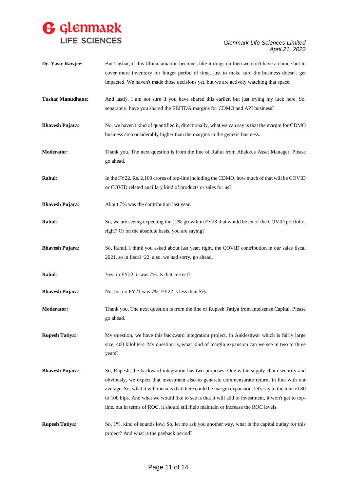

| Dr. Yasir Rawjee:        | But Tushar, if this China situation becomes like it drags on then we don't have a choice but to<br>cover more inventory for longer period of time, just to make sure the business doesn't get<br>impacted. We haven't made those decisions yet, but we are actively watching that space.                                                                                                                                                                                                        |
|--------------------------|-------------------------------------------------------------------------------------------------------------------------------------------------------------------------------------------------------------------------------------------------------------------------------------------------------------------------------------------------------------------------------------------------------------------------------------------------------------------------------------------------|
| <b>Tushar Manudhane:</b> | And lastly, I am not sure if you have shared this earlier, but just trying my luck here. So,<br>separately, have you shared the EBITDA margins for CDMO and API business?                                                                                                                                                                                                                                                                                                                       |
| <b>Bhavesh Pujara:</b>   | No, we haven't kind of quantified it, directionally, what we can say is that the margin for CDMO<br>business are considerably higher than the margins in the generic business.                                                                                                                                                                                                                                                                                                                  |
| Moderator:               | Thank you. The next question is from the line of Rahul from Abakkus Asset Manager. Please<br>go ahead.                                                                                                                                                                                                                                                                                                                                                                                          |
| <b>Rahul:</b>            | In the FY22, Rs. 2,100 crores of top-line including the CDMO, how much of that will be COVID<br>or COVID related ancillary kind of products or sales for us?                                                                                                                                                                                                                                                                                                                                    |
| <b>Bhavesh Pujara:</b>   | About 7% was the contribution last year.                                                                                                                                                                                                                                                                                                                                                                                                                                                        |
| Rahul:                   | So, we are seeing expecting the 12% growth in FY23 that would be ex of the COVID portfolio,<br>right? Or on the absolute basis, you are saying?                                                                                                                                                                                                                                                                                                                                                 |
| <b>Bhavesh Pujara:</b>   | So, Rahul, I think you asked about last year, right, the COVID contribution in our sales fiscal<br>2021, so in fiscal '22, also, we had sorry, go ahead.                                                                                                                                                                                                                                                                                                                                        |
| Rahul:                   | Yes, in FY22, it was 7%. Is that correct?                                                                                                                                                                                                                                                                                                                                                                                                                                                       |
| <b>Bhavesh Pujara:</b>   | No, no, no FY21 was 7%, FY22 is less than 5%.                                                                                                                                                                                                                                                                                                                                                                                                                                                   |
| <b>Moderator:</b>        | Thank you. The next question is from the line of Rupesh Tatiya from Intelsense Capital. Please<br>go ahead.                                                                                                                                                                                                                                                                                                                                                                                     |
| <b>Rupesh Tatiya:</b>    | My question, we have this backward integration project, in Ankleshwar which is fairly large<br>size, 400 kiloliters. My question is, what kind of margin expansion can we see in two to three<br>years?                                                                                                                                                                                                                                                                                         |
| <b>Bhavesh Pujara:</b>   | So, Rupesh, the backward integration has two purposes. One is the supply chain security and<br>obviously, we expect that investment also to generate commensurate return, in line with our<br>average. So, what it will mean is that there could be margin expansion, let's say to the tune of 80<br>to 100 bips. And what we would like to see is that it will add to investment, it won't get to top-<br>line, but in terms of ROC, it should still help maintain or increase the ROC levels. |
| <b>Rupesh Tatiya:</b>    | So, 1%, kind of sounds low. So, let me ask you another way, what is the capital outlay for this<br>project? And what is the payback period?                                                                                                                                                                                                                                                                                                                                                     |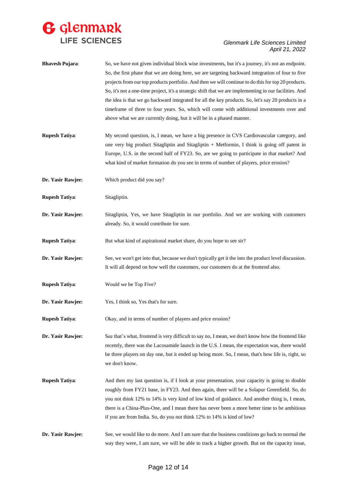

| <b>Bhavesh Pujara:</b> | So, we have not given individual block wise investments, but it's a journey, it's not an endpoint.<br>So, the first phase that we are doing here, we are targeting backward integration of four to five<br>projects from our top products portfolio. And then we will continue to do this for top 20 products.<br>So, it's not a one-time project, it's a strategic shift that we are implementing in our facilities. And<br>the idea is that we go backward integrated for all the key products. So, let's say 20 products in a<br>timeframe of three to four years. So, which will come with additional investments over and<br>above what we are currently doing, but it will be in a phased manner. |
|------------------------|---------------------------------------------------------------------------------------------------------------------------------------------------------------------------------------------------------------------------------------------------------------------------------------------------------------------------------------------------------------------------------------------------------------------------------------------------------------------------------------------------------------------------------------------------------------------------------------------------------------------------------------------------------------------------------------------------------|
| <b>Rupesh Tatiya:</b>  | My second question, is, I mean, we have a big presence in CVS Cardiovascular category, and<br>one very big product Sitagliptin and Sitagliptin + Metformin, I think is going off patent in<br>Europe, U.S. in the second half of FY23. So, are we going to participate in that market? And<br>what kind of market formation do you see in terms of number of players, price erosion?                                                                                                                                                                                                                                                                                                                    |
| Dr. Yasir Rawjee:      | Which product did you say?                                                                                                                                                                                                                                                                                                                                                                                                                                                                                                                                                                                                                                                                              |
| <b>Rupesh Tatiya:</b>  | Sitagliptin.                                                                                                                                                                                                                                                                                                                                                                                                                                                                                                                                                                                                                                                                                            |
| Dr. Yasir Rawjee:      | Sitagliptin, Yes, we have Sitagliptin in our portfolio. And we are working with customers<br>already. So, it would contribute for sure.                                                                                                                                                                                                                                                                                                                                                                                                                                                                                                                                                                 |
| <b>Rupesh Tatiya:</b>  | But what kind of aspirational market share, do you hope to see sir?                                                                                                                                                                                                                                                                                                                                                                                                                                                                                                                                                                                                                                     |
| Dr. Yasir Rawjee:      | See, we won't get into that, because we don't typically get it the into the product level discussion.<br>It will all depend on how well the customers, our customers do at the frontend also.                                                                                                                                                                                                                                                                                                                                                                                                                                                                                                           |
| <b>Rupesh Tatiya:</b>  | Would we be Top Five?                                                                                                                                                                                                                                                                                                                                                                                                                                                                                                                                                                                                                                                                                   |
| Dr. Yasir Rawjee:      | Yes, I think so, Yes that's for sure.                                                                                                                                                                                                                                                                                                                                                                                                                                                                                                                                                                                                                                                                   |
| <b>Rupesh Tatiya:</b>  | Okay, and in terms of number of players and price erosion?                                                                                                                                                                                                                                                                                                                                                                                                                                                                                                                                                                                                                                              |
| Dr. Yasir Rawjee:      | See that's what, frontend is very difficult to say no, I mean, we don't know how the frontend like<br>recently, there was the Lacosamide launch in the U.S. I mean, the expectation was, there would<br>be three players on day one, but it ended up being more. So, I mean, that's how life is, right, so<br>we don't know.                                                                                                                                                                                                                                                                                                                                                                            |
| <b>Rupesh Tatiya:</b>  | And then my last question is, if I look at your presentation, your capacity is going to double<br>roughly from FY21 base, in FY23. And then again, there will be a Solapur Greenfield. So, do<br>you not think 12% to 14% is very kind of low kind of guidance. And another thing is, I mean,<br>there is a China-Plus-One, and I mean there has never been a more better time to be ambitious<br>if you are from India. So, do you not think 12% to 14% is kind of low?                                                                                                                                                                                                                                |
| Dr. Yasir Rawjee:      | See, we would like to do more. And I am sure that the business conditions go back to normal the<br>way they were, I am sure, we will be able to track a higher growth. But on the capacity issue,                                                                                                                                                                                                                                                                                                                                                                                                                                                                                                       |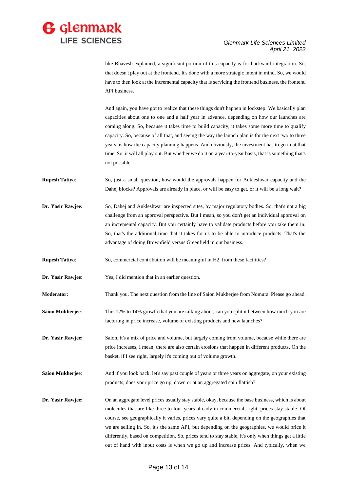

like Bhavesh explained, a significant portion of this capacity is for backward integration. So, that doesn't play out at the frontend. It's done with a more strategic intent in mind. So, we would have to then look at the incremental capacity that is servicing the frontend business, the frontend API business.

And again, you have got to realize that these things don't happen in lockstep. We basically plan capacities about one to one and a half year in advance, depending on how our launches are coming along. So, because it takes time to build capacity, it takes some more time to qualify capacity. So, because of all that, and seeing the way the launch plan is for the next two to three years, is how the capacity planning happens. And obviously, the investment has to go in at that time. So, it will all play out. But whether we do it on a year-to-year basis, that is something that's not possible.

- **Rupesh Tatiya**: So, just a small question, how would the approvals happen for Ankleshwar capacity and the Dahej blocks? Approvals are already in place, or will be easy to get, or it will be a long wait?
- **Dr. Yasir Rawjee:** So, Dahej and Ankleshwar are inspected sites, by major regulatory bodies. So, that's not a big challenge from an approval perspective. But I mean, so you don't get an individual approval on an incremental capacity. But you certainly have to validate products before you take them in. So, that's the additional time that it takes for us to be able to introduce products. That's the advantage of doing Brownfield versus Greenfield in our business.
- **Rupesh Tatiya:** So, commercial contribution will be meaningful in H2, from these facilities?
- **Dr. Yasir Rawjee:** Yes, I did mention that in an earlier question.

**Moderator:** Thank you. The next question from the line of Saion Mukherjee from Nomura. Please go ahead.

- **Saion Mukherjee:** This 12% to 14% growth that you are talking about, can you split it between how much you are factoring in price increase, volume of existing products and new launches?
- **Dr. Yasir Rawjee:** Saion, it's a mix of price and volume, but largely coming from volume, because while there are price increases, I mean, there are also certain erosions that happen in different products. On the basket, if I see right, largely it's coming out of volume growth.
- **Saion Mukherjee:** And if you look back, let's say past couple of years or three years on aggregate, on your existing products, does your price go up, down or at an aggregated spin flattish?
- **Dr. Yasir Rawjee:** On an aggregate level prices usually stay stable, okay, because the base business, which is about molecules that are like three to four years already in commercial, right, prices stay stable. Of course, see geographically it varies, prices vary quite a bit, depending on the geographies that we are selling in. So, it's the same API, but depending on the geographies, we would price it differently, based on competition. So, prices tend to stay stable, it's only when things get a little out of hand with input costs is when we go up and increase prices. And typically, when we